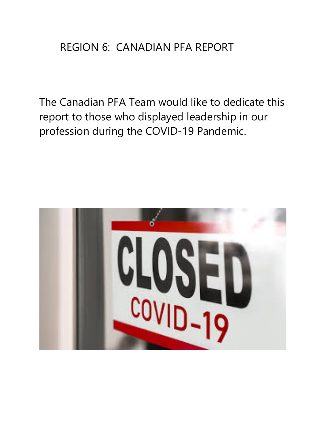### REGION 6: CANADIAN PFA REPORT

The Canadian PFA Team would like to dedicate this report to those who displayed leadership in our profession during the COVID-19 Pandemic.

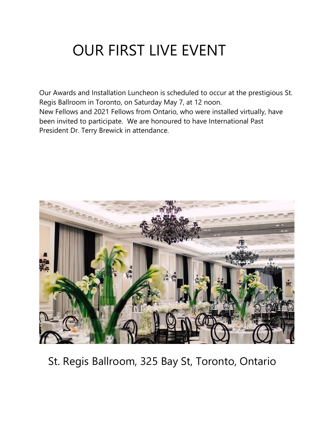## OUR FIRST LIVE EVENT

Our Awards and Installation Luncheon is scheduled to occur at the prestigious St. Regis Ballroom in Toronto, on Saturday May 7, at 12 noon. New Fellows and 2021 Fellows from Ontario, who were installed virtually, have been invited to participate. We are honoured to have International Past President Dr. Terry Brewick in attendance.



St. Regis Ballroom, 325 Bay St, Toronto, Ontario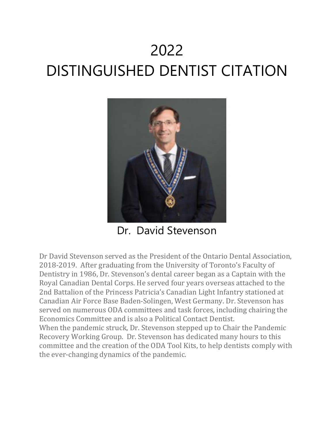# 2022 DISTINGUISHED DENTIST CITATION



Dr. David Stevenson

Dr David Stevenson served as the President of the Ontario Dental Association, 2018-2019. After graduating from the University of Toronto's Faculty of Dentistry in 1986, Dr. Stevenson's dental career began as a Captain with the Royal Canadian Dental Corps. He served four years overseas attached to the 2nd Battalion of the Princess Patricia's Canadian Light Infantry stationed at Canadian Air Force Base Baden-Solingen, West Germany. Dr. Stevenson has served on numerous ODA committees and task forces, including chairing the Economics Committee and is also a Political Contact Dentist.

When the pandemic struck, Dr. Stevenson stepped up to Chair the Pandemic Recovery Working Group. Dr. Stevenson has dedicated many hours to this committee and the creation of the ODA Tool Kits, to help dentists comply with the ever-changing dynamics of the pandemic.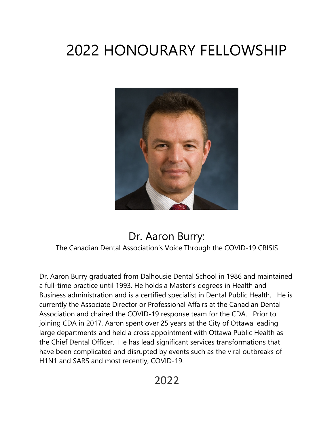# 2022 HONOURARY FELLOWSHIP



#### Dr. Aaron Burry: The Canadian Dental Association's Voice Through the COVID-19 CRISIS

Dr. Aaron Burry graduated from Dalhousie Dental School in 1986 and maintained a full-time practice until 1993. He holds a Master's degrees in Health and Business administration and is a certified specialist in Dental Public Health. He is currently the Associate Director or Professional Affairs at the Canadian Dental Association and chaired the COVID-19 response team for the CDA. Prior to joining CDA in 2017, Aaron spent over 25 years at the City of Ottawa leading large departments and held a cross appointment with Ottawa Public Health as the Chief Dental Officer. He has lead significant services transformations that have been complicated and disrupted by events such as the viral outbreaks of H1N1 and SARS and most recently, COVID-19.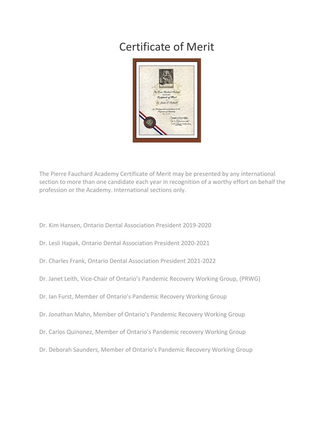### Certificate of Merit



The Pierre Fauchard Academy Certificate of Merit may be presented by any international section to more than one candidate each year in recognition of a worthy effort on behalf the profession or the Academy. International sections only.

- Dr. Kim Hansen, Ontario Dental Association President 2019-2020
- Dr. Lesli Hapak, Ontario Dental Association President 2020-2021
- Dr. Charles Frank, Ontario Dental Association President 2021-2022
- Dr. Janet Leith, Vice-Chair of Ontario's Pandemic Recovery Working Group, (PRWG)
- Dr. Ian Furst, Member of Ontario's Pandemic Recovery Working Group
- Dr. Jonathan Mahn, Member of Ontario's Pandemic Recovery Working Group
- Dr. Carlos Quinonez, Member of Ontario's Pandemic recovery Working Group
- Dr. Deborah Saunders, Member of Ontario's Pandemic Recovery Working Group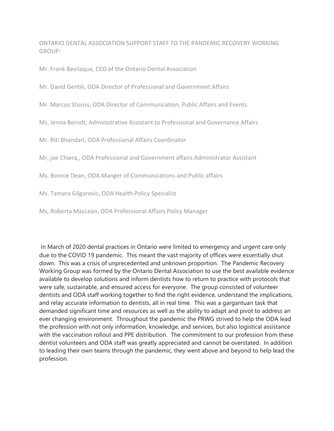ONTARIO DENTAL ASSOCIATION SUPPORT STAFF TO THE PANDEMIC RECOVERY WORKING GROUP:

Mr. Frank Bevilaqua, CEO of the Ontario Dental Association

Mr. David Gentili, ODA Director of Professional and Government Affairs

Mr. Marcus Staviss, ODA Director of Communication, Public Affairs and Events

Ms. Jenna Berndt, Administrative Assistant to Professional and Governance Affairs

Mr. Riti Bhandari, ODA Professional Affairs Coordinator

Mr, joe Chiera,, ODA Professional and Government affairs Administrator Assistant

Ms. Bonnie Dean, ODA Manger of Communications and Public affairs

Ms. Tamara Gilgorevic, ODA Health Policy Specialist

Ms, Roberta MacLean, ODA Professional Affairs Policy Manager

In March of 2020 dental practices in Ontario were limited to emergency and urgent care only due to the COVID 19 pandemic. This meant the vast majority of offices were essentially shut down. This was a crisis of unprecedented and unknown proportion. The Pandemic Recovery Working Group was formed by the Ontario Dental Association to use the best available evidence available to develop solutions and inform dentists how to return to practice with protocols that were safe, sustainable, and ensured access for everyone. The group consisted of volunteer dentists and ODA staff working together to find the right evidence, understand the implications, and relay accurate information to dentists, all in real time. This was a gargantuan task that demanded significant time and resources as well as the ability to adapt and pivot to address an ever changing environment. Throughout the pandemic the PRWG strived to help the ODA lead the profession with not only information, knowledge, and services, but also logistical assistance with the vaccination rollout and PPE distribution. The commitment to our profession from these dentist volunteers and ODA staff was greatly appreciated and cannot be overstated. In addition to leading their own teams through the pandemic, they went above and beyond to help lead the profession.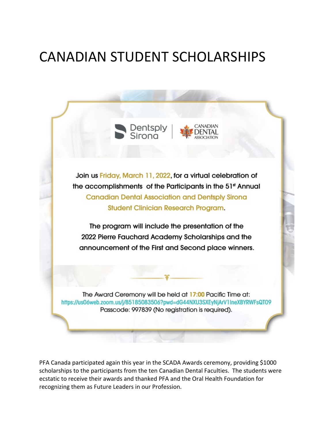### CANADIAN STUDENT SCHOLARSHIPS





Join us Friday, March 11, 2022, for a virtual celebration of the accomplishments of the Participants in the 51st Annual **Canadian Dental Association and Dentsply Sirona Student Clinician Research Program.** 

The program will include the presentation of the 2022 Pierre Fauchard Academy Scholarships and the announcement of the First and Second place winners.

The Award Ceremony will be held at 17:00 Pacific Time at: https://us06web.zoom.us/j/85185083506?pwd=dG44NXU3SXEyNjArV1IneXBYRWFsQT09 Passcode: 997839 (No registration is required).

PFA Canada participated again this year in the SCADA Awards ceremony, providing \$1000 scholarships to the participants from the ten Canadian Dental Faculties. The students were ecstatic to receive their awards and thanked PFA and the Oral Health Foundation for recognizing them as Future Leaders in our Profession.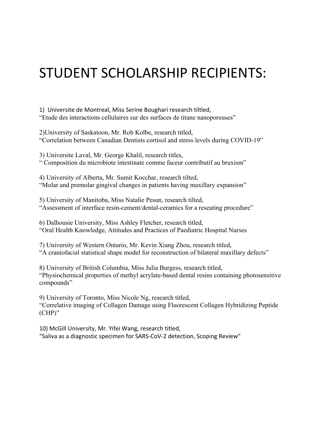### STUDENT SCHOLARSHIP RECIPIENTS:

1) Universite de Montreal, Miss Serine Boughari research tiltled, "Etude des interactions cellulaires sur des surfaces de titane nanoporeuses"

2)University of Saskatoon, Mr. Rob Kolbe, research titled, "Correlation between Canadian Dentists cortisol and stress levels during COVID-19"

3) Universite Laval, Mr. George Khalil, research titles, " Composition du microbiote intestinate comme faceur contributif au bruxism"

4) University of Alberta, Mr. Sumit Kocchar, research tilted, "Molar and premolar gingival changes in patients having maxillary expansion"

5) University of Manitoba, Miss Natalie Pesun, research tilted, "Assessment of interface resin-cement/dental-ceramics for a reseating procedure"

6) Dalhousie University, Miss Ashley Fletcher, research titled, "Oral Health Knowledge, Attitudes and Practices of Paediatric Hospital Nurses

7) University of Western Ontario, Mr. Kevin Xiang Zhou, research titled, "A craniofacial statistical shape model for reconstruction of bilateral maxillary defects"

8) University of British Columbia, Miss Julia Burgess, research titled, "Physiochemical properties of methyl acrylate-based dental resins containing photosensitive compounds"

9) University of Toronto, Miss Nicole Ng, research titled, "Correlative imaging of Collagen Damage using Fluorescent Collagen Hybridizing Peptide (CHP)"

10) McGill University, Mr. Yifei Wang, research titled, "Saliva as a diagnostic specimen for SARS-CoV-2 detection, Scoping Review"